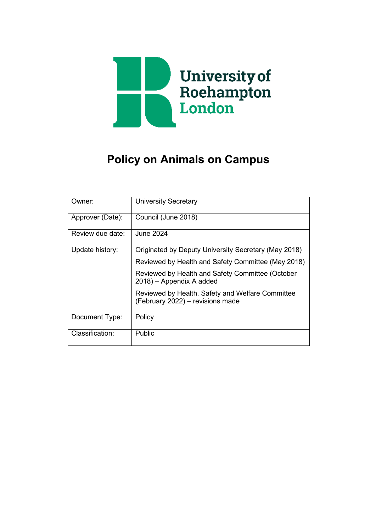

# **Policy on Animals on Campus**

| Owner:           | <b>University Secretary</b>                                                          |
|------------------|--------------------------------------------------------------------------------------|
| Approver (Date): | Council (June 2018)                                                                  |
| Review due date: | <b>June 2024</b>                                                                     |
| Update history:  | Originated by Deputy University Secretary (May 2018)                                 |
|                  | Reviewed by Health and Safety Committee (May 2018)                                   |
|                  | Reviewed by Health and Safety Committee (October<br>2018) - Appendix A added         |
|                  | Reviewed by Health, Safety and Welfare Committee<br>(February 2022) – revisions made |
| Document Type:   | Policy                                                                               |
| Classification:  | Public                                                                               |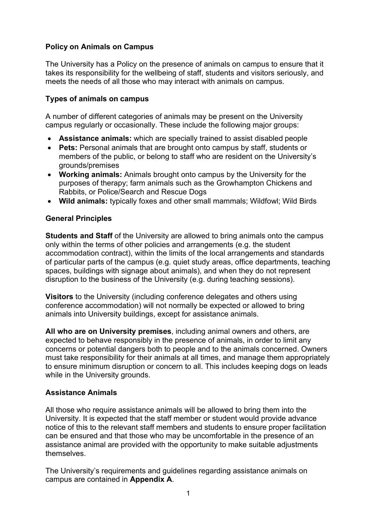# **Policy on Animals on Campus**

The University has a Policy on the presence of animals on campus to ensure that it takes its responsibility for the wellbeing of staff, students and visitors seriously, and meets the needs of all those who may interact with animals on campus.

## **Types of animals on campus**

A number of different categories of animals may be present on the University campus regularly or occasionally. These include the following major groups:

- **Assistance animals:** which are specially trained to assist disabled people
- **Pets:** Personal animals that are brought onto campus by staff, students or members of the public, or belong to staff who are resident on the University's grounds/premises
- **Working animals:** Animals brought onto campus by the University for the purposes of therapy; farm animals such as the Growhampton Chickens and Rabbits, or Police/Search and Rescue Dogs
- **Wild animals:** typically foxes and other small mammals; Wildfowl; Wild Birds

## **General Principles**

**Students and Staff** of the University are allowed to bring animals onto the campus only within the terms of other policies and arrangements (e.g. the student accommodation contract), within the limits of the local arrangements and standards of particular parts of the campus (e.g. quiet study areas, office departments, teaching spaces, buildings with signage about animals), and when they do not represent disruption to the business of the University (e.g. during teaching sessions).

**Visitors** to the University (including conference delegates and others using conference accommodation) will not normally be expected or allowed to bring animals into University buildings, except for assistance animals.

**All who are on University premises**, including animal owners and others, are expected to behave responsibly in the presence of animals, in order to limit any concerns or potential dangers both to people and to the animals concerned. Owners must take responsibility for their animals at all times, and manage them appropriately to ensure minimum disruption or concern to all. This includes keeping dogs on leads while in the University grounds.

# **Assistance Animals**

All those who require assistance animals will be allowed to bring them into the University. It is expected that the staff member or student would provide advance notice of this to the relevant staff members and students to ensure proper facilitation can be ensured and that those who may be uncomfortable in the presence of an assistance animal are provided with the opportunity to make suitable adjustments themselves.

The University's requirements and guidelines regarding assistance animals on campus are contained in **Appendix A**.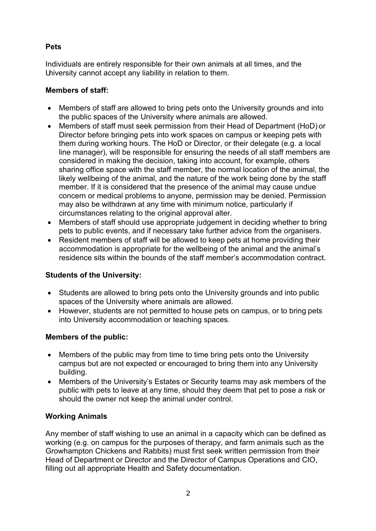# **Pets**

Individuals are entirely responsible for their own animals at all times, and the University cannot accept any liability in relation to them.

# **Members of staff:**

- Members of staff are allowed to bring pets onto the University grounds and into the public spaces of the University where animals are allowed.
- Members of staff must seek permission from their Head of Department (HoD) or Director before bringing pets into work spaces on campus or keeping pets with them during working hours. The HoD or Director, or their delegate (e.g. a local line manager), will be responsible for ensuring the needs of all staff members are considered in making the decision, taking into account, for example, others sharing office space with the staff member, the normal location of the animal, the likely wellbeing of the animal, and the nature of the work being done by the staff member. If it is considered that the presence of the animal may cause undue concern or medical problems to anyone, permission may be denied. Permission may also be withdrawn at any time with minimum notice, particularly if circumstances relating to the original approval alter.
- Members of staff should use appropriate judgement in deciding whether to bring pets to public events, and if necessary take further advice from the organisers.
- Resident members of staff will be allowed to keep pets at home providing their accommodation is appropriate for the wellbeing of the animal and the animal's residence sits within the bounds of the staff member's accommodation contract.

# **Students of the University:**

- Students are allowed to bring pets onto the University grounds and into public spaces of the University where animals are allowed.
- However, students are not permitted to house pets on campus, or to bring pets into University accommodation or teaching spaces.

## **Members of the public:**

- Members of the public may from time to time bring pets onto the University campus but are not expected or encouraged to bring them into any University building.
- Members of the University's Estates or Security teams may ask members of the public with pets to leave at any time, should they deem that pet to pose a risk or should the owner not keep the animal under control.

# **Working Animals**

Any member of staff wishing to use an animal in a capacity which can be defined as working (e.g. on campus for the purposes of therapy, and farm animals such as the Growhampton Chickens and Rabbits) must first seek written permission from their Head of Department or Director and the Director of Campus Operations and CIO, filling out all appropriate Health and Safety documentation.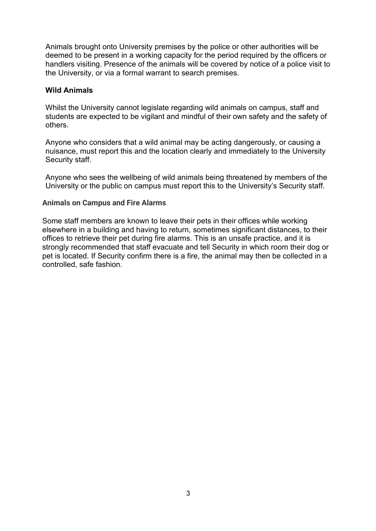Animals brought onto University premises by the police or other authorities will be deemed to be present in a working capacity for the period required by the officers or handlers visiting. Presence of the animals will be covered by notice of a police visit to the University, or via a formal warrant to search premises.

#### **Wild Animals**

Whilst the University cannot legislate regarding wild animals on campus, staff and students are expected to be vigilant and mindful of their own safety and the safety of others.

Anyone who considers that a wild animal may be acting dangerously, or causing a nuisance, must report this and the location clearly and immediately to the University Security staff.

Anyone who sees the wellbeing of wild animals being threatened by members of the University or the public on campus must report this to the University's Security staff.

#### **Animals on Campus and Fire Alarms**

Some staff members are known to leave their pets in their offices while working elsewhere in a building and having to return, sometimes significant distances, to their offices to retrieve their pet during fire alarms. This is an unsafe practice, and it is strongly recommended that staff evacuate and tell Security in which room their dog or pet is located. If Security confirm there is a fire, the animal may then be collected in a controlled, safe fashion.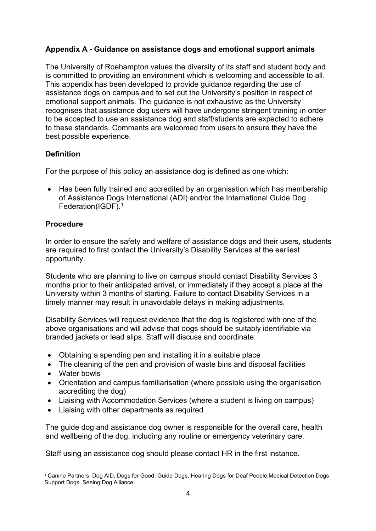# **Appendix A - Guidance on assistance dogs and emotional support animals**

The University of Roehampton values the diversity of its staff and student body and is committed to providing an environment which is welcoming and accessible to all. This appendix has been developed to provide guidance regarding the use of assistance dogs on campus and to set out the University's position in respect of emotional support animals. The guidance is not exhaustive as the University recognises that assistance dog users will have undergone stringent training in order to be accepted to use an assistance dog and staff/students are expected to adhere to these standards. Comments are welcomed from users to ensure they have the best possible experience.

## **Definition**

For the purpose of this policy an assistance dog is defined as one which:

• Has been fully trained and accredited by an organisation which has membership of Assistance Dogs International (ADI) and/or the International Guide Dog Federation(IGDF).<sup>1</sup>

### **Procedure**

In order to ensure the safety and welfare of assistance dogs and their users, students are required to first contact the University's Disability Services at the earliest opportunity.

Students who are planning to live on campus should contact Disability Services 3 months prior to their anticipated arrival, or immediately if they accept a place at the University within 3 months of starting. Failure to contact Disability Services in a timely manner may result in unavoidable delays in making adjustments.

Disability Services will request evidence that the dog is registered with one of the above organisations and will advise that dogs should be suitably identifiable via branded jackets or lead slips. Staff will discuss and coordinate:

- Obtaining a spending pen and installing it in a suitable place
- The cleaning of the pen and provision of waste bins and disposal facilities
- Water bowls
- Orientation and campus familiarisation (where possible using the organisation accrediting the dog)
- Liaising with Accommodation Services (where a student is living on campus)
- Liaising with other departments as required

The guide dog and assistance dog owner is responsible for the overall care, health and wellbeing of the dog, including any routine or emergency veterinary care.

Staff using an assistance dog should please contact HR in the first instance.

<sup>1</sup> Canine Partners, Dog AID, Dogs for Good, Guide Dogs, Hearing Dogs for Deaf People,Medical Detection Dogs Support Dogs, Seeing Dog Alliance.